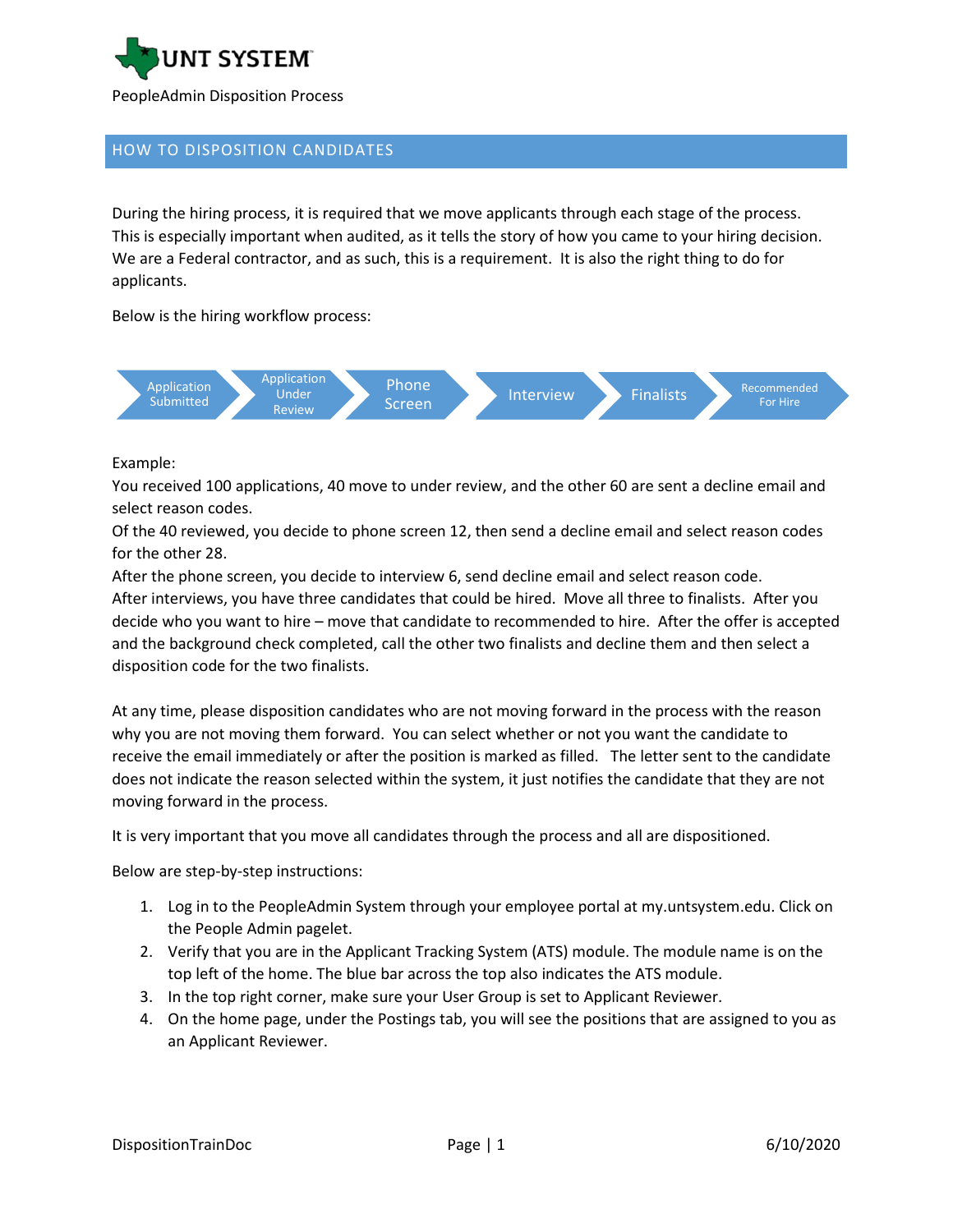

## HOW TO DISPOSITION CANDIDATES

During the hiring process, it is required that we move applicants through each stage of the process. This is especially important when audited, as it tells the story of how you came to your hiring decision. We are a Federal contractor, and as such, this is a requirement. It is also the right thing to do for applicants.

Below is the hiring workflow process:



Example:

You received 100 applications, 40 move to under review, and the other 60 are sent a decline email and select reason codes.

Of the 40 reviewed, you decide to phone screen 12, then send a decline email and select reason codes for the other 28.

After the phone screen, you decide to interview 6, send decline email and select reason code. After interviews, you have three candidates that could be hired. Move all three to finalists. After you decide who you want to hire – move that candidate to recommended to hire. After the offer is accepted and the background check completed, call the other two finalists and decline them and then select a disposition code for the two finalists.

At any time, please disposition candidates who are not moving forward in the process with the reason why you are not moving them forward. You can select whether or not you want the candidate to receive the email immediately or after the position is marked as filled. The letter sent to the candidate does not indicate the reason selected within the system, it just notifies the candidate that they are not moving forward in the process.

It is very important that you move all candidates through the process and all are dispositioned.

Below are step-by-step instructions:

- 1. Log in to the PeopleAdmin System through your employee portal at my.untsystem.edu. Click on the People Admin pagelet.
- 2. Verify that you are in the Applicant Tracking System (ATS) module. The module name is on the top left of the home. The blue bar across the top also indicates the ATS module.
- 3. In the top right corner, make sure your User Group is set to Applicant Reviewer.
- 4. On the home page, under the Postings tab, you will see the positions that are assigned to you as an Applicant Reviewer.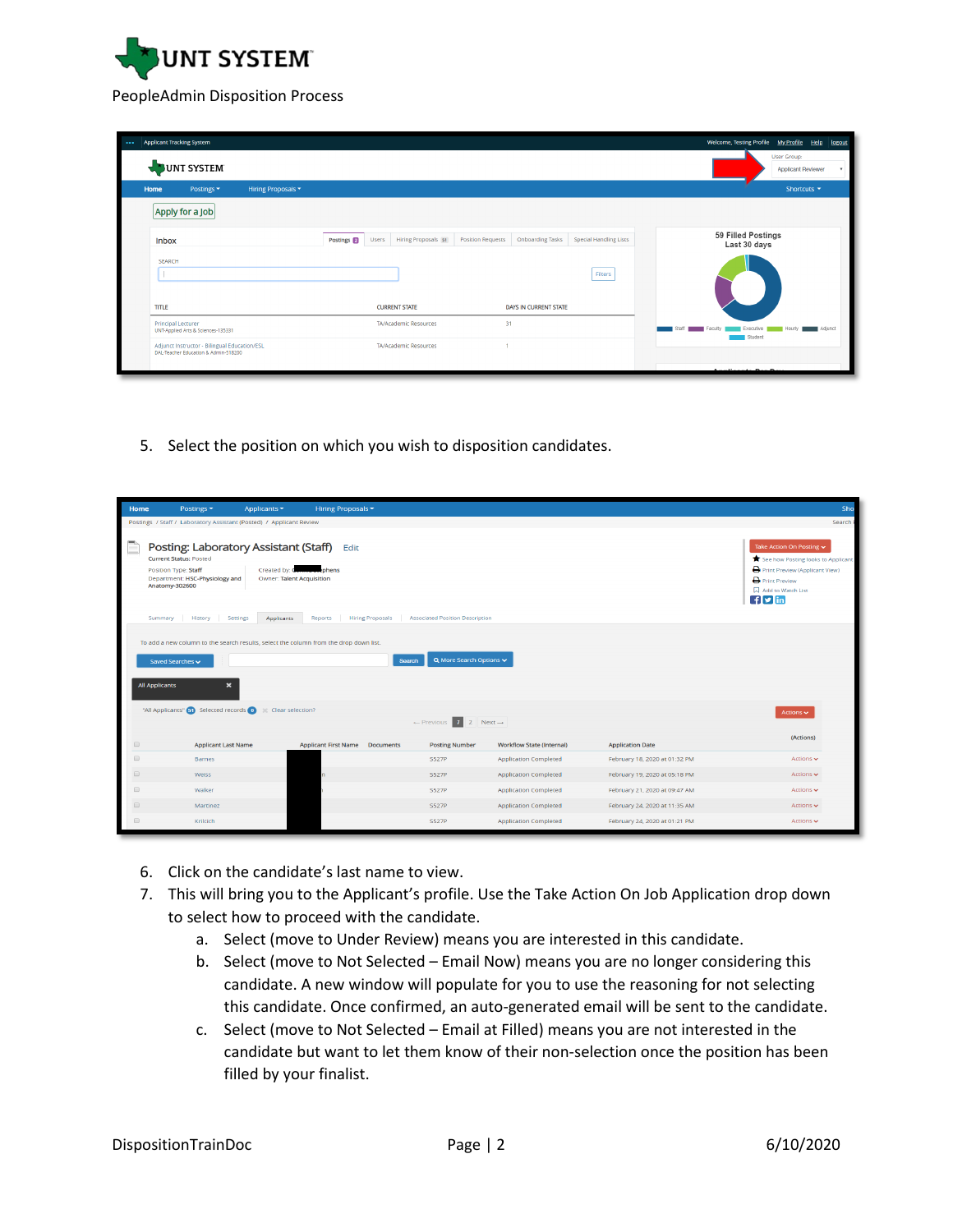

## PeopleAdmin Disposition Process

| UNT SYSTEM                                                                                                                                                                               | User Group:<br>Applicant Reviewer |  |
|------------------------------------------------------------------------------------------------------------------------------------------------------------------------------------------|-----------------------------------|--|
| Hiring Proposals v<br>Postings $\blacktriangledown$<br>Home                                                                                                                              | Shortcuts $\blacktriangledown$    |  |
| Apply for a Job                                                                                                                                                                          |                                   |  |
| 59 Filled Postings<br>Postings 2<br>Hiring Proposals 51<br><b>Position Requests</b><br><b>Onboarding Tasks</b><br><b>Special Handling Lists</b><br>Users<br><b>Inbox</b><br>Last 30 days |                                   |  |
| <b>SEARCH</b><br>Filters                                                                                                                                                                 |                                   |  |
| <b>TITLE</b><br><b>CURRENT STATE</b><br>DAYS IN CURRENT STATE                                                                                                                            |                                   |  |
| 31<br><b>Principal Lecturer</b><br><b>TA/Academic Resources</b><br>vertible<br>UNT-Applied Arts & Sciences-135331                                                                        | Adjunct<br>Hour                   |  |
| Student<br>Adjunct Instructor - Bilingual Education/ESL<br><b>TA/Academic Resources</b><br>DAL-Teacher Education & Admin-518200<br>$-11 - 1$<br>$+$ $  -$                                |                                   |  |

5. Select the position on which you wish to disposition candidates.

| Home                                                                    | Postings -                                                                                                                                                               | Applicants ▼                                                                | Hiring Proposals -          |                         |                                              |                                  |                               | Sho                                                                                                                                                                             |
|-------------------------------------------------------------------------|--------------------------------------------------------------------------------------------------------------------------------------------------------------------------|-----------------------------------------------------------------------------|-----------------------------|-------------------------|----------------------------------------------|----------------------------------|-------------------------------|---------------------------------------------------------------------------------------------------------------------------------------------------------------------------------|
|                                                                         | Postings / Staff / Laboratory Assistant (Posted) / Applicant Review                                                                                                      |                                                                             |                             |                         |                                              |                                  |                               | Search I                                                                                                                                                                        |
|                                                                         | Posting: Laboratory Assistant (Staff)<br><b>Current Status: Posted</b><br>Position Type: Staff<br>Department: HSC-Physiology and<br>Anatomy-302600<br>History<br>Summary | Created by: C<br>Owner: Talent Acquisition<br>Settings<br><b>Applicants</b> | Edit<br>ephens<br>Reports   | <b>Hiring Proposals</b> | <b>Associated Position Description</b>       |                                  |                               | Take Action On Posting v<br>See how Posting looks to Applicant<br>Print Preview (Applicant View)<br><b>D</b> Print Preview<br>Add to Watch List<br>$\mathbf{f}$ $\mathbf{v}$ in |
|                                                                         | To add a new column to the search results, select the column from the drop down list.<br>Saved Searches ~<br><b>All Applicants</b><br>$\mathbf{x}$                       |                                                                             |                             | <b>Search</b>           | Q More Search Options v                      |                                  |                               |                                                                                                                                                                                 |
|                                                                         | "All Applicants" (3) Selected records (0)                                                                                                                                | Clear selection?                                                            |                             |                         | $\leftarrow$ Previous 1 2 Next $\rightarrow$ |                                  |                               | Actions $\sim$                                                                                                                                                                  |
| $\qquad \qquad \Box$                                                    | <b>Applicant Last Name</b>                                                                                                                                               |                                                                             | <b>Applicant First Name</b> | <b>Documents</b>        | <b>Posting Number</b>                        | <b>Workflow State (Internal)</b> | <b>Application Date</b>       | (Actions)                                                                                                                                                                       |
| $\qquad \qquad \qquad \qquad \qquad \qquad \qquad \qquad \qquad$        | <b>Barnes</b>                                                                                                                                                            |                                                                             |                             |                         | <b>S527P</b>                                 | <b>Application Completed</b>     | February 18, 2020 at 01:32 PM | Actions v                                                                                                                                                                       |
| $\qquad \qquad \Box$                                                    | Weiss                                                                                                                                                                    |                                                                             |                             |                         | <b>S527P</b>                                 | <b>Application Completed</b>     | February 19, 2020 at 05:18 PM | Actions $\sim$                                                                                                                                                                  |
| $\qquad \qquad \qquad \qquad \qquad \qquad \qquad \qquad \qquad \qquad$ | Walker                                                                                                                                                                   |                                                                             |                             |                         | <b>S527P</b>                                 | <b>Application Completed</b>     | February 21, 2020 at 09:47 AM | Actions $\sim$                                                                                                                                                                  |
| $\Box$                                                                  | Martinez                                                                                                                                                                 |                                                                             |                             |                         | <b>S527P</b>                                 | <b>Application Completed</b>     | February 24, 2020 at 11:35 AM | Actions $\sim$                                                                                                                                                                  |
|                                                                         | Krilcich                                                                                                                                                                 |                                                                             |                             |                         | <b>S527P</b>                                 | <b>Application Completed</b>     | February 24, 2020 at 01:21 PM | Actions $\sim$                                                                                                                                                                  |

- 6. Click on the candidate's last name to view.
- 7. This will bring you to the Applicant's profile. Use the Take Action On Job Application drop down to select how to proceed with the candidate.
	- a. Select (move to Under Review) means you are interested in this candidate.
	- b. Select (move to Not Selected Email Now) means you are no longer considering this candidate. A new window will populate for you to use the reasoning for not selecting this candidate. Once confirmed, an auto-generated email will be sent to the candidate.
	- c. Select (move to Not Selected Email at Filled) means you are not interested in the candidate but want to let them know of their non-selection once the position has been filled by your finalist.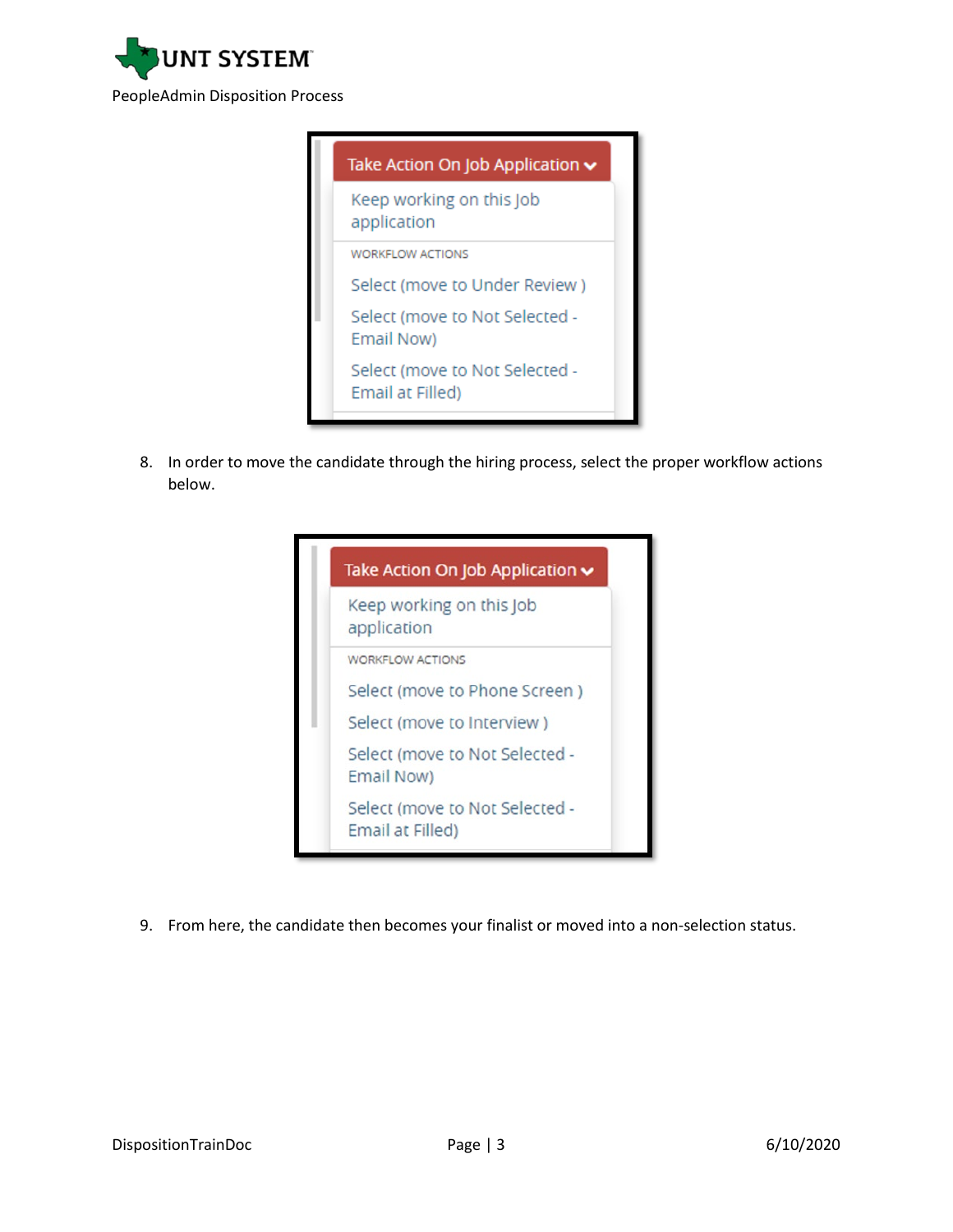

| Take Action On Job Application $\sim$              |
|----------------------------------------------------|
| Keep working on this Job<br>application            |
| <b>WORKFLOW ACTIONS</b>                            |
| Select (move to Under Review)                      |
| Select (move to Not Selected -<br>Email Now)       |
| Select (move to Not Selected -<br>Email at Filled) |
|                                                    |

8. In order to move the candidate through the hiring process, select the proper workflow actions below.

| Take Action On Job Application v                   |
|----------------------------------------------------|
| Keep working on this Job<br>application            |
| <b>WORKFLOW ACTIONS</b>                            |
| Select (move to Phone Screen)                      |
| Select (move to Interview)                         |
| Select (move to Not Selected -<br>Email Now)       |
| Select (move to Not Selected -<br>Email at Filled) |

9. From here, the candidate then becomes your finalist or moved into a non-selection status.